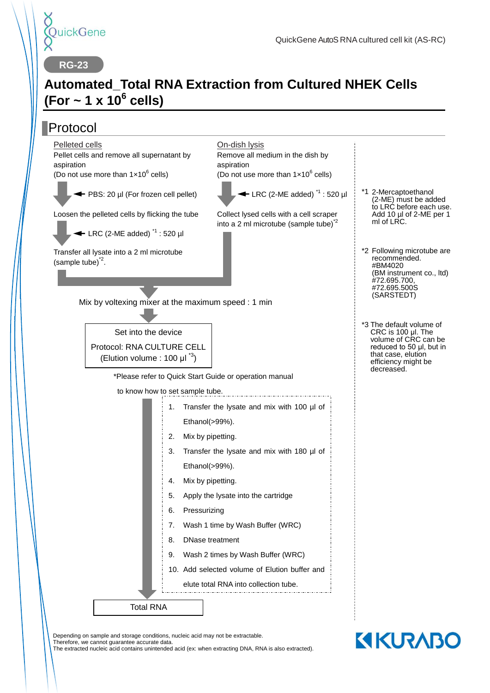

**RG-23**

## **Automated\_Total RNA Extraction from Cultured NHEK Cells (For ~ 1 x 10<sup>6</sup> cells)**

#### Protocol Mix by voltexing mixer at the maximum speed : 1 min \*Please refer to Quick Start Guide or operation manual to know how to set sample tube. \*1 2-Mercaptoethanol \*3 The default volume of On-dish lysis Remove all medium in the dish by aspiration (Do not use more than  $1 \times 10^6$  cells)  $\blacktriangleleft$  LRC (2-ME added)<sup> $1$ </sup> : 520 ul Collect lysed cells with a cell scraper into a 2 ml microtube (sample tube) $2^2$ Pelleted cells Pellet cells and remove all supernatant by aspiration (Do not use more than  $1 \times 10^6$  cells) ← PBS: 20 ul (For frozen cell pellet) Loosen the pelleted cells by flicking the tube  $\leftarrow$  LRC (2-ME added)<sup> $1$ </sup> : 520 ul (2-ME) must be added ml of LRC. CRC is 100 μl. The volume of CRC can be reduced to 50 μl, but in that case, elution efficiency might be decreased. Total RNA 1. Transfer the lysate and mix with 100 µl of Ethanol(>99%). 2. Mix by pipetting. 3. Transfer the lysate and mix with 180 µl of Ethanol(>99%). 4. Mix by pipetting. 5. Apply the lysate into the cartridge 6. Pressurizing 7. Wash 1 time by Wash Buffer (WRC) 8. DNase treatment 9. Wash 2 times by Wash Buffer (WRC) 10. Add selected volume of Elution buffer and elute total RNA into collection tube. Transfer all lysate into a 2 ml microtube  $(sample tube)^2$ . recommended. #BM4020 #72.695.700, #72.695.500S (SARSTEDT) Set into the device Protocol: RNA CULTURE CELL (Elution volume : 100  $\mu I^{3}$ )

Depending on sample and storage conditions, nucleic acid may not be extractable.

Therefore, we cannot guarantee accurate data.

The extracted nucleic acid contains unintended acid (ex: when extracting DNA, RNA is also extracted).

- to LRC before each use. Add 10 µl of 2-ME per 1
- \*2 Following microtube are (BM instrument co., ltd)

**KIKURABO**